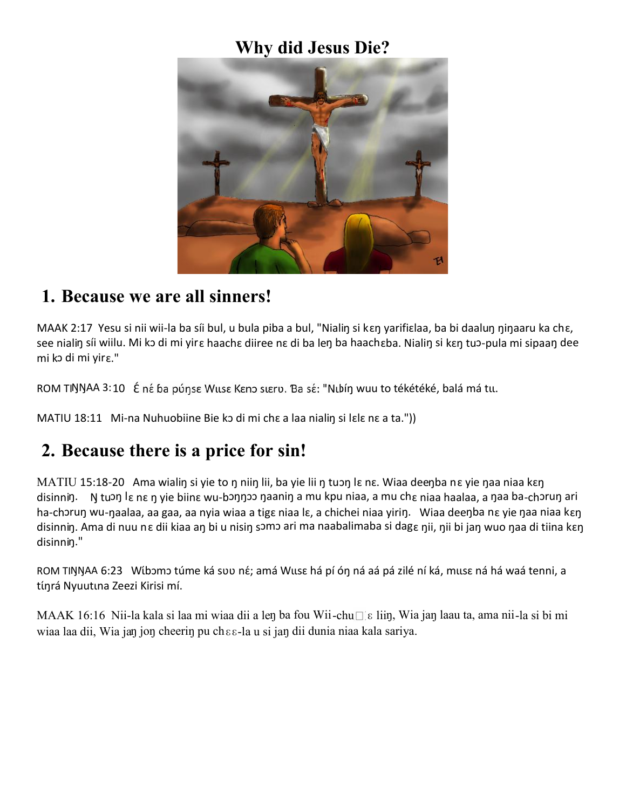### **Why did Jesus Die?**



#### **1. Because we are all sinners!**

MAAK 2:17 Yesu si nii wii-la ba síi bul, u bula piba a bul, "Nialiŋ si kɛŋ yarifiɛlaa, ba bi daaluŋ ŋiŋaaru ka chɛ, see nialiŋ síi wiilu. Mi kↄ di mi yirɛ haachɛ diiree nɛ di ba leŋ ba haachɛba. Nialiŋ si kɛŋ tuↄ-pula mi sipaaŋ dee mi kↄ di mi yirɛ."

ROM TINNAA 3:10 É né ba púnse Wuse Keno sueru. Ba sé: "Nubín wuu to tékétéké, balá má tu.

MATIU 18:11 Mi-na Nuhuobiine Bie kↄ di mi chɛ a laa nialiŋ si lɛlɛ nɛ a ta."))

### **2. Because there is a price for sin!**

MATIU 15:18-20 Ama wialiŋ si yie to ŋ niiŋ lii, ba yie lii ŋ tuↄŋ lɛ nɛ. Wiaa deeŋba nɛ yie ŋaa niaa kɛŋ disinniŋ. N tuɔŋ lɛ nɛ ŋ yie biinɛ wu-bɔŋŋɔɔ ŋaaniŋ a mu kpu niaa, a mu chɛ niaa haalaa, a ŋaa ba-chɔruŋ ari ha-chɔruŋ wu-ŋaalaa, aa gaa, aa nyia wiaa a tigɛ niaa lɛ, a chichei niaa yiriŋ. Wiaa deeŋba nɛ yie ŋaa niaa kɛŋ disinniŋ. Ama di nuu nɛ dii kiaa aŋ bi u nisiŋ sↄmↄ ari ma naabalimaba si dagɛ ŋii, ŋii bi jaŋ wuo ŋaa di tiina kɛŋ disinnin."

ROM TIŊŊAA 6:23 Wĺbɔmɔ túme ká svv né; amá Wusɛ há pí ón ná aá pá zilé ní ká, musɛ ná há waá tenni, a tínrá Nyuutina Zeezi Kirisi mí.

MAAK 16:16 Nii-la kala si laa mi wiaa dii a leŋ ba fou Wii-chu□lɛ liiŋ, Wia jaŋ laau ta, ama nii-la si bi mi wiaa laa dii, Wia jaŋ joŋ cheeriŋ pu chɛɛ-la u si jaŋ dii dunia niaa kala sariya.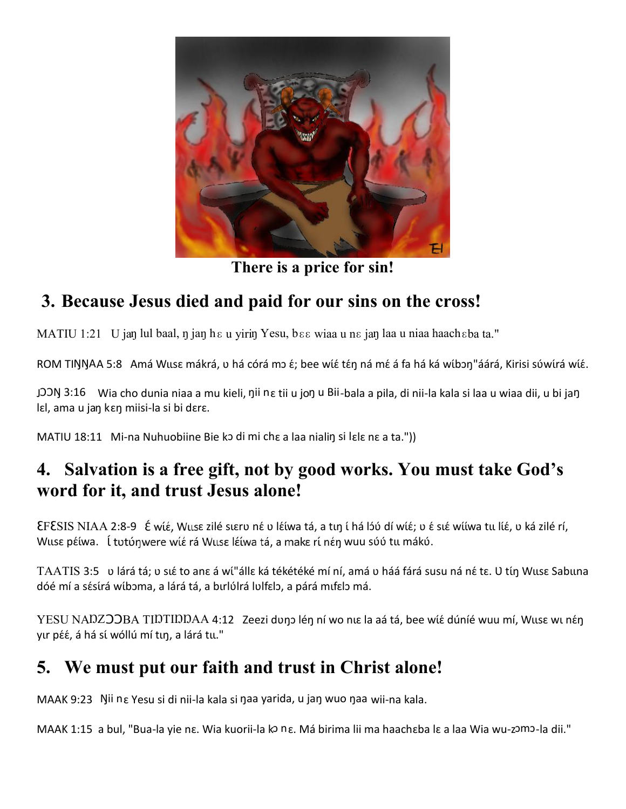

**There is a price for sin!**

# **3. Because Jesus died and paid for our sins on the cross!**

MATIU 1:21 U jan lul baal, n jan h  $\epsilon$  u yirin Yesu, b  $\epsilon \epsilon$  wiaa u n  $\epsilon$  jan laa u niaa haach $\epsilon$ ba ta."

ROM TIŊŊAA 5:8 Amá Wusɛ mákrá, v há córá mɔ ɛ́; bee wíɛ́ tɛ́ŋ ná mɛ́ á fa há ká wíbɔŋ"áárá, Kirisi súwírá wíɛ́.

JOON 3:16 Wia cho dunia niaa a mu kieli, nii n e tii u jon u Bii-bala a pila, di nii-la kala si laa u wiaa dii, u bi jan lɛl, ama u jaŋ kɛŋ miisi-la si bi dɛrɛ.

MATIU 18:11 Mi-na Nuhuobiine Bie kↄ di mi chɛ a laa nialiŋ si lɛlɛ nɛ a ta."))

## **4. Salvation is a free gift, not by good works. You must take God's word for it, and trust Jesus alone!**

ƐFƐSIS NIAA 2:8-9 , Wɩɩsɛ zilé sɩɛrʋ nɛ́ ʋ lɛ́ɩ́wa tá, a tɩŋ ɩ́ há lɔ́ʋ́ dí wɩ́ɛ́; ʋ ɛ́ sɩɛ́ wɩ́ɩ́wa tɩɩ lɩ́ɛ́, ʋ ká zilé rí, Wuse péiwa. L tutúnwere wié rá Wuse léiwa tá, a make ri nén wuu súú tu mákú.

TAATIS 3:5 v lárá tá; v sué to ane á wí"álle ká tékétéké mí ní, amá v háá fárá susu ná né tɛ. U tíŋ Wusɛ Sabuna dóé mí a sésírá wíbɔma, a lárá tá, a bɪrlúlrá lulfɛlɔ, a párá mɪfɛlɔ má.

YESU NADZOOBA TIDTIDDAA 4:12 Zeezi duno lén ní wo nue la aá tá, bee wít dúníé wuu mí, Wuse wu nén yư péé, á há sí wóllú mí tun, a lárá tu."

### **5. We must put our faith and trust in Christ alone!**

MAAK 9:23 Ŋii nɛ Yesu si di nii-la kala si ŋaa yarida, u jaŋ wuo ŋaa wii-na kala.

MAAK 1:15 a bul, "Bua-la yie nɛ. Wia kuorii-la kↄ nɛ. Má birima lii ma haachɛba lɛ a laa Wia wu-zↄmↄ-la dii."